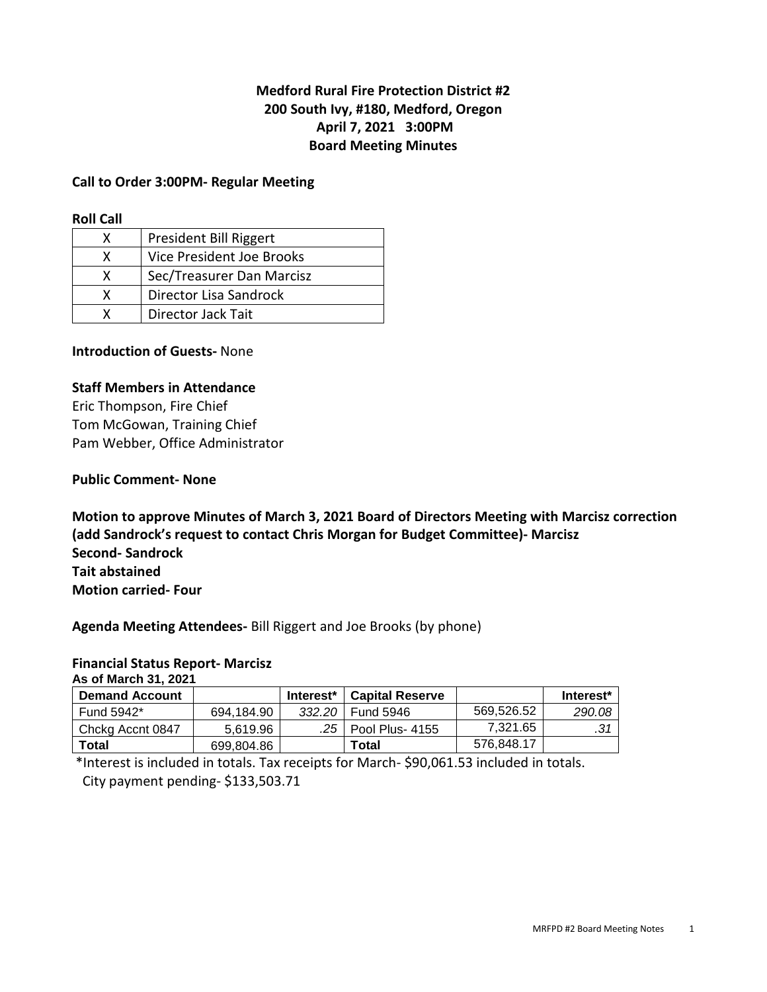# **Medford Rural Fire Protection District #2 200 South Ivy, #180, Medford, Oregon April 7, 2021 3:00PM Board Meeting Minutes**

#### **Call to Order 3:00PM- Regular Meeting**

#### **Roll Call**

|   | President Bill Riggert    |
|---|---------------------------|
| x | Vice President Joe Brooks |
| x | Sec/Treasurer Dan Marcisz |
| x | Director Lisa Sandrock    |
|   | Director Jack Tait        |

#### **Introduction of Guests-** None

#### **Staff Members in Attendance**

Eric Thompson, Fire Chief Tom McGowan, Training Chief Pam Webber, Office Administrator

#### **Public Comment- None**

**Motion to approve Minutes of March 3, 2021 Board of Directors Meeting with Marcisz correction (add Sandrock's request to contact Chris Morgan for Budget Committee)- Marcisz Second- Sandrock Tait abstained Motion carried- Four** 

**Agenda Meeting Attendees-** Bill Riggert and Joe Brooks (by phone)

#### **Financial Status Report- Marcisz**

**As of March 31, 2021** 

| <b>Demand Account</b> |            | Interest*   Capital Reserve |            | Interest* |
|-----------------------|------------|-----------------------------|------------|-----------|
| Fund 5942*            | 694.184.90 | 332.20 Fund 5946            | 569,526.52 | 290.08    |
| Chckg Accnt 0847      | 5.619.96   | .25   Pool Plus- 4155       | 7.321.65   |           |
| Total                 | 699.804.86 | Total                       | 576,848.17 |           |

 \*Interest is included in totals. Tax receipts for March- \$90,061.53 included in totals. City payment pending- \$133,503.71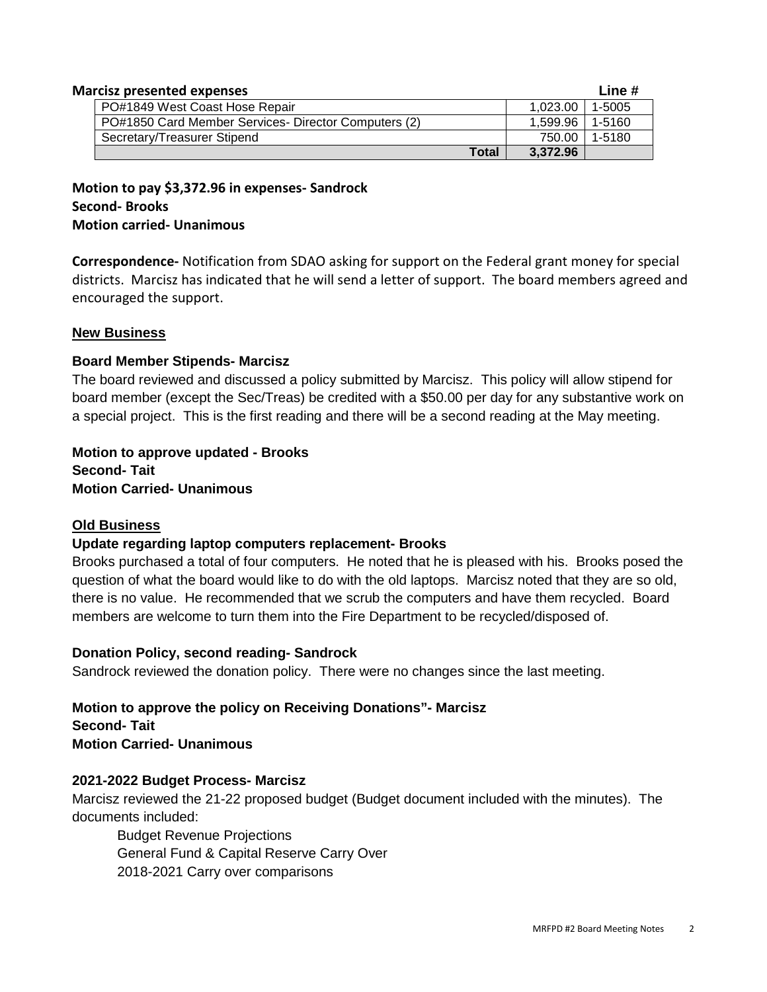| <b>Marcisz presented expenses</b>                    |                   | Line # |
|------------------------------------------------------|-------------------|--------|
| PO#1849 West Coast Hose Repair                       | 1.023.00          | 1-5005 |
| PO#1850 Card Member Services- Director Computers (2) | 1.599.96   1-5160 |        |
| Secretary/Treasurer Stipend                          | 750.00 l          | 1-5180 |
| Total                                                | 3.372.96          |        |

**Motion to pay \$3,372.96 in expenses- Sandrock Second- Brooks Motion carried- Unanimous** 

**Correspondence-** Notification from SDAO asking for support on the Federal grant money for special districts. Marcisz has indicated that he will send a letter of support. The board members agreed and encouraged the support.

### **New Business**

## **Board Member Stipends- Marcisz**

The board reviewed and discussed a policy submitted by Marcisz. This policy will allow stipend for board member (except the Sec/Treas) be credited with a \$50.00 per day for any substantive work on a special project. This is the first reading and there will be a second reading at the May meeting.

**Motion to approve updated - Brooks Second- Tait Motion Carried- Unanimous** 

### **Old Business**

# **Update regarding laptop computers replacement- Brooks**

Brooks purchased a total of four computers. He noted that he is pleased with his. Brooks posed the question of what the board would like to do with the old laptops. Marcisz noted that they are so old, there is no value. He recommended that we scrub the computers and have them recycled. Board members are welcome to turn them into the Fire Department to be recycled/disposed of.

### **Donation Policy, second reading- Sandrock**

Sandrock reviewed the donation policy. There were no changes since the last meeting.

**Motion to approve the policy on Receiving Donations"- Marcisz Second- Tait Motion Carried- Unanimous** 

# **2021-2022 Budget Process- Marcisz**

Marcisz reviewed the 21-22 proposed budget (Budget document included with the minutes). The documents included:

 Budget Revenue Projections General Fund & Capital Reserve Carry Over 2018-2021 Carry over comparisons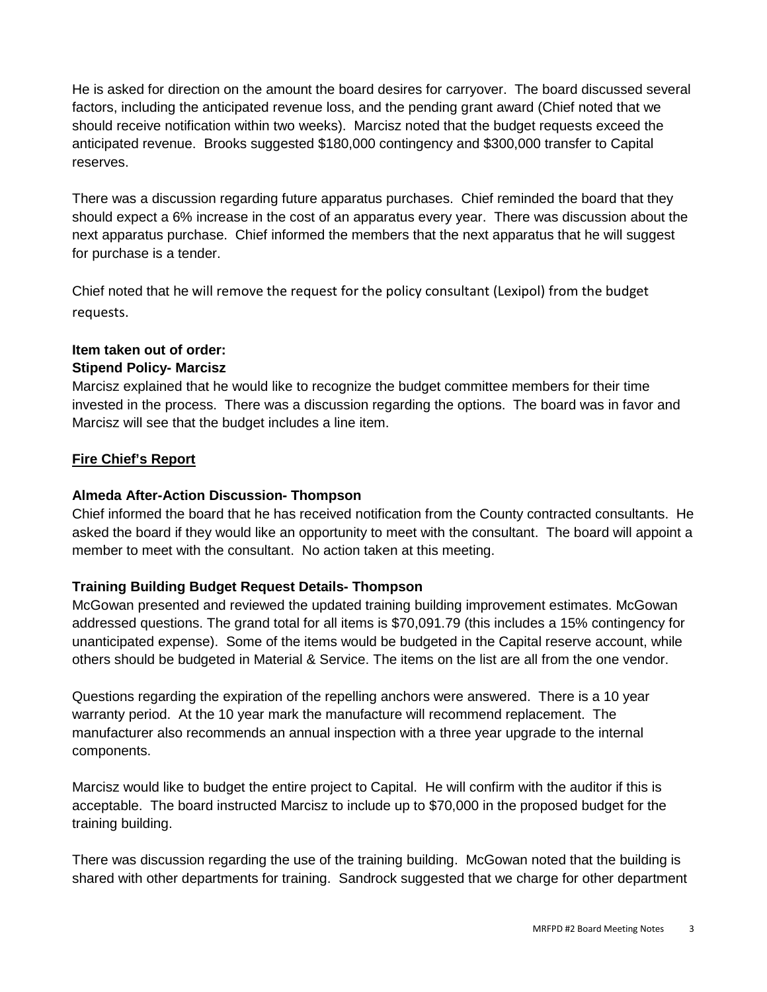He is asked for direction on the amount the board desires for carryover. The board discussed several factors, including the anticipated revenue loss, and the pending grant award (Chief noted that we should receive notification within two weeks). Marcisz noted that the budget requests exceed the anticipated revenue. Brooks suggested \$180,000 contingency and \$300,000 transfer to Capital reserves.

There was a discussion regarding future apparatus purchases. Chief reminded the board that they should expect a 6% increase in the cost of an apparatus every year. There was discussion about the next apparatus purchase. Chief informed the members that the next apparatus that he will suggest for purchase is a tender.

Chief noted that he will remove the request for the policy consultant (Lexipol) from the budget requests.

# **Item taken out of order:**

# **Stipend Policy- Marcisz**

Marcisz explained that he would like to recognize the budget committee members for their time invested in the process. There was a discussion regarding the options. The board was in favor and Marcisz will see that the budget includes a line item.

# **Fire Chief's Report**

## **Almeda After-Action Discussion- Thompson**

Chief informed the board that he has received notification from the County contracted consultants. He asked the board if they would like an opportunity to meet with the consultant. The board will appoint a member to meet with the consultant. No action taken at this meeting.

# **Training Building Budget Request Details- Thompson**

McGowan presented and reviewed the updated training building improvement estimates. McGowan addressed questions. The grand total for all items is \$70,091.79 (this includes a 15% contingency for unanticipated expense). Some of the items would be budgeted in the Capital reserve account, while others should be budgeted in Material & Service. The items on the list are all from the one vendor.

Questions regarding the expiration of the repelling anchors were answered. There is a 10 year warranty period. At the 10 year mark the manufacture will recommend replacement. The manufacturer also recommends an annual inspection with a three year upgrade to the internal components.

Marcisz would like to budget the entire project to Capital. He will confirm with the auditor if this is acceptable. The board instructed Marcisz to include up to \$70,000 in the proposed budget for the training building.

There was discussion regarding the use of the training building. McGowan noted that the building is shared with other departments for training. Sandrock suggested that we charge for other department